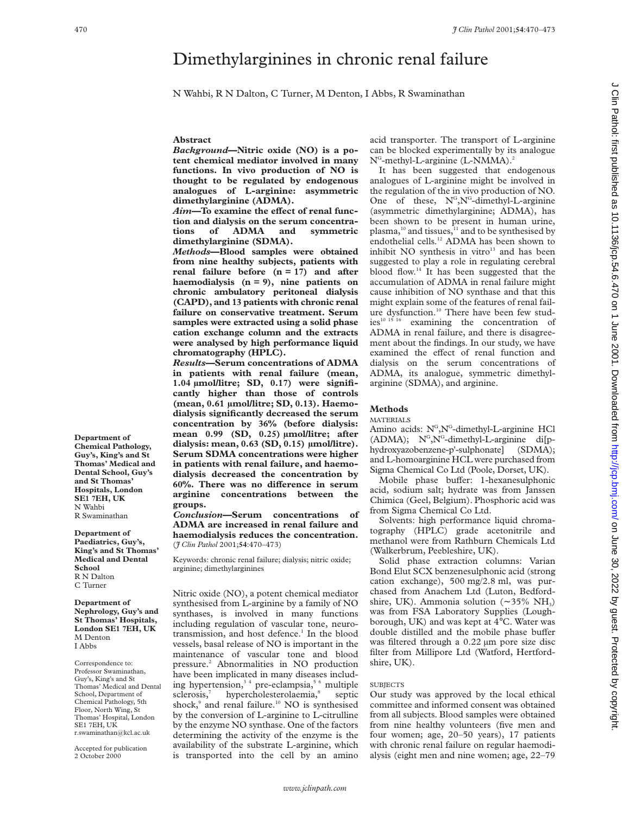# Dimethylarginines in chronic renal failure

N Wahbi, R N Dalton, C Turner, M Denton, I Abbs, R Swaminathan

### **Abstract**

*Background***—Nitric oxide (NO) is a potent chemical mediator involved in many functions. In vivo production of NO is thought to be regulated by endogenous analogues of L-arginine: asymmetric dimethylarginine (ADMA).**

Aim-To examine the effect of renal func**tion and dialysis on the serum concentrations of ADMA and symmetric dimethylarginine (SDMA).**

*Methods***—Blood samples were obtained from nine healthy subjects, patients with renal failure before (n = 17) and after haemodialysis (n = 9), nine patients on chronic ambulatory peritoneal dialysis (CAPD), and 13 patients with chronic renal failure on conservative treatment. Serum samples were extracted using a solid phase cation exchange column and the extracts were analysed by high performance liquid chromatography (HPLC).**

*Results***—Serum concentrations of ADMA in patients with renal failure (mean, 1.04 µmol/litre; SD, 0.17) were significantly higher than those of controls (mean, 0.61 µmol/litre; SD, 0.13). Haemodialysis significantly decreased the serum concentration by 36% (before dialysis: mean 0.99 (SD, 0.25) µmol/litre; after dialysis: mean, 0.63 (SD, 0.15) µmol/litre). Serum SDMA concentrations were higher in patients with renal failure, and haemodialysis decreased the concentration by** 60%. There was no difference in serum **arginine concentrations between the groups.**

*Conclusion***—Serum concentrations of ADMA are increased in renal failure and haemodialysis reduces the concentration.** (*J Clin Pathol* 2001;**54**:470–473)

Keywords: chronic renal failure; dialysis; nitric oxide; arginine; dimethylarginines

Nitric oxide (NO), a potent chemical mediator synthesised from L-arginine by a family of NO synthases, is involved in many functions including regulation of vascular tone, neurotransmission, and host defence.<sup>1</sup> In the blood vessels, basal release of NO is important in the maintenance of vascular tone and blood pressure.2 Abnormalities in NO production have been implicated in many diseases including hypertension,<sup>34</sup> pre-eclampsia,<sup>56</sup> multiple  $sclerosis,7$  hypercholesterolaemia, $s$  septic shock,<sup>9</sup> and renal failure.<sup>10</sup> NO is synthesised by the conversion of L-arginine to L-citrulline by the enzyme NO synthase. One of the factors determining the activity of the enzyme is the availability of the substrate L-arginine, which is transported into the cell by an amino

acid transporter. The transport of L-arginine can be blocked experimentally by its analogue  $N<sup>G</sup>$ -methyl-L-arginine (L-NMMA).<sup>2</sup>

It has been suggested that endogenous analogues of L-arginine might be involved in the regulation of the in vivo production of NO. One of these,  $N^G, N^G$ -dimethyl-L-arginine (asymmetric dimethylarginine; ADMA), has been shown to be present in human urine, plasma,<sup>10</sup> and tissues, $11$  and to be synthesised by endothelial cells.<sup>12</sup> ADMA has been shown to inhibit  $NO$  synthesis in vitro $13$  and has been suggested to play a role in regulating cerebral blood flow.14 It has been suggested that the accumulation of ADMA in renal failure might cause inhibition of NO synthase and that this might explain some of the features of renal failure dysfunction.<sup>10</sup> There have been few stud-<br>ies<sup>10 15 16</sup> examining the concentration of examining the concentration of ADMA in renal failure, and there is disagreement about the findings. In our study, we have examined the effect of renal function and dialysis on the serum concentrations of ADMA, its analogue, symmetric dimethylarginine (SDMA), and arginine.

# **Methods**

#### MATERIALS

Amino acids: N<sup>G</sup>, N<sup>G</sup>-dimethyl-L-arginine HCl (ADMA);  $N^G$ ,  $N^G$ -dimethyl-L-arginine di[phydroxyazobenzene-p'-sulphonate] (SDMA); and L-homoarginine HCL were purchased from Sigma Chemical Co Ltd (Poole, Dorset, UK).

Mobile phase buffer: 1-hexanesulphonic acid, sodium salt; hydrate was from Janssen Chimica (Geel, Belgium). Phosphoric acid was from Sigma Chemical Co Ltd.

Solvents: high performance liquid chromatography (HPLC) grade acetonitrile and methanol were from Rathburn Chemicals Ltd (Walkerbrum, Peebleshire, UK).

Solid phase extraction columns: Varian Bond Elut SCX benzenesulphonic acid (strong cation exchange), 500 mg/2.8 ml, was purchased from Anachem Ltd (Luton, Bedfordshire, UK). Ammonia solution (~ 35% NH<sub>3</sub>) was from FSA Laboratory Supplies (Loughborough, UK) and was kept at 4°C. Water was double distilled and the mobile phase buffer was filtered through a 0.22 µm pore size disc filter from Millipore Ltd (Watford, Hertfordshire, UK).

# **SUBJECTS**

Our study was approved by the local ethical committee and informed consent was obtained from all subjects. Blood samples were obtained from nine healthy volunteers (five men and four women; age, 20–50 years), 17 patients with chronic renal failure on regular haemodialysis (eight men and nine women; age, 22–79

**Department of Chemical Pathology, Guy's, King's and St Thomas' Medical and Dental School, Guy's and St Thomas' Hospitals, London SE1 7EH, UK** N Wahbi R Swaminathan

**Department of Paediatrics, Guy's, King's and St Thomas' Medical and Dental School** R N Dalton C Turner

**Department of Nephrology, Guy's and St Thomas' Hospitals, London SE1 7EH, UK** M Denton I Abbs

Correspondence to: Professor Swaminathan, Guy's, King's and St Thomas' Medical and Dental School, Department of Chemical Pathology, 5th Floor, North Wing, St Thomas' Hospital, London SE1 7EH, UK r.swaminathan@kcl.ac.uk

Accepted for publication 2 October 2000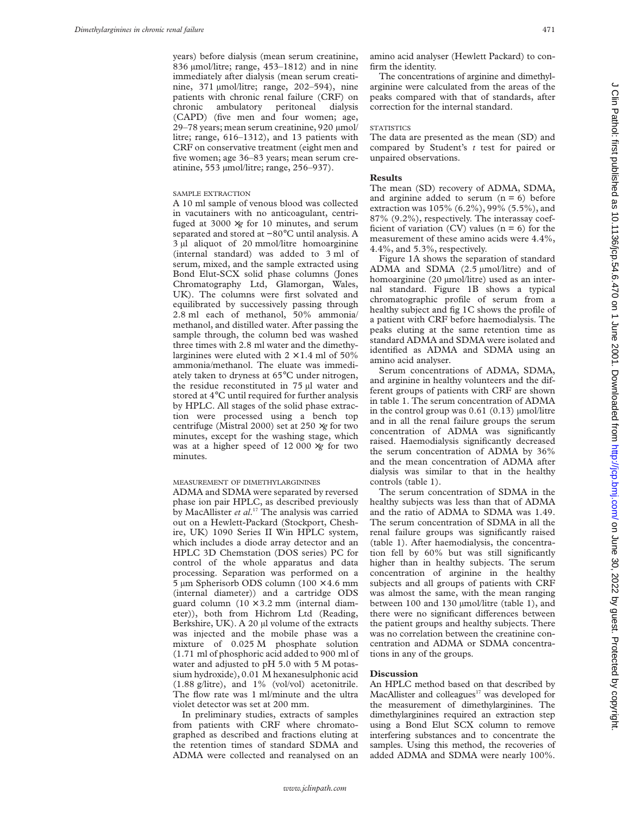years) before dialysis (mean serum creatinine, 836 µmol/litre; range, 453–1812) and in nine immediately after dialysis (mean serum creatinine, 371 µmol/litre; range, 202–594), nine patients with chronic renal failure (CRF) on chronic ambulatory peritoneal dialysis (CAPD) (five men and four women; age, 29–78 years; mean serum creatinine, 920 µmol/ litre; range, 616–1312), and 13 patients with CRF on conservative treatment (eight men and five women; age 36–83 years; mean serum creatinine, 553 µmol/litre; range, 256–937).

# SAMPLE EXTRACTION

A 10 ml sample of venous blood was collected in vacutainers with no anticoagulant, centrifuged at  $3000 \times g$  for 10 minutes, and serum separated and stored at −80°C until analysis. A 3 µl aliquot of 20 mmol/litre homoarginine (internal standard) was added to 3 ml of serum, mixed, and the sample extracted using Bond Elut-SCX solid phase columns (Jones Chromatography Ltd, Glamorgan, Wales, UK). The columns were first solvated and equilibrated by successively passing through 2.8 ml each of methanol, 50% ammonia/ methanol, and distilled water. After passing the sample through, the column bed was washed three times with 2.8 ml water and the dimethylarginines were eluted with  $2 \times 1.4$  ml of 50% ammonia/methanol. The eluate was immediately taken to dryness at 65°C under nitrogen, the residue reconstituted in 75 µl water and stored at 4°C until required for further analysis by HPLC. All stages of the solid phase extraction were processed using a bench top centrifuge (Mistral 2000) set at 250 ×*g* for two minutes, except for the washing stage, which was at a higher speed of 12 000 ×*g* for two minutes.

# MEASUREMENT OF DIMETHYLARGININES

ADMA and SDMA were separated by reversed phase ion pair HPLC, as described previously by MacAllister *et al*. <sup>17</sup> The analysis was carried out on a Hewlett-Packard (Stockport, Cheshire, UK) 1090 Series II Win HPLC system, which includes a diode array detector and an HPLC 3D Chemstation (DOS series) PC for control of the whole apparatus and data processing. Separation was performed on a 5 µm Spherisorb ODS column  $(100 \times 4.6 \text{ mm})$ (internal diameter)) and a cartridge ODS guard column  $(10 \times 3.2 \text{ mm})$  (internal diameter)), both from Hichrom Ltd (Reading, Berkshire, UK). A 20 µl volume of the extracts was injected and the mobile phase was a mixture of 0.025 M phosphate solution (1.71 ml of phosphoric acid added to 900 ml of water and adjusted to pH 5.0 with 5 M potassium hydroxide), 0.01 M hexanesulphonic acid (1.88 g/litre), and 1% (vol/vol) acetonitrile. The flow rate was 1 ml/minute and the ultra violet detector was set at 200 mm.

In preliminary studies, extracts of samples from patients with CRF where chromatographed as described and fractions eluting at the retention times of standard SDMA and ADMA were collected and reanalysed on an

amino acid analyser (Hewlett Packard) to confirm the identity.

The concentrations of arginine and dimethylarginine were calculated from the areas of the peaks compared with that of standards, after correction for the internal standard.

### **STATISTICS**

The data are presented as the mean (SD) and compared by Student's *t* test for paired or unpaired observations.

# **Results**

The mean (SD) recovery of ADMA, SDMA, and arginine added to serum  $(n = 6)$  before extraction was 105% (6.2%), 99% (5.5%), and 87% (9.2%), respectively. The interassay coefficient of variation (CV) values ( $n = 6$ ) for the measurement of these amino acids were 4.4%, 4.4%, and 5.3%, respectively.

Figure 1A shows the separation of standard ADMA and SDMA (2.5 µmol/litre) and of homoarginine (20 µmol/litre) used as an internal standard. Figure 1B shows a typical chromatographic profile of serum from a healthy subject and fig 1C shows the profile of a patient with CRF before haemodialysis. The peaks eluting at the same retention time as standard ADMA and SDMA were isolated and identified as ADMA and SDMA using an amino acid analyser.

Serum concentrations of ADMA, SDMA, and arginine in healthy volunteers and the different groups of patients with CRF are shown in table 1. The serum concentration of ADMA in the control group was  $0.61$   $(0.13)$   $\mu$ mol/litre and in all the renal failure groups the serum concentration of ADMA was significantly raised. Haemodialysis significantly decreased the serum concentration of ADMA by 36% and the mean concentration of ADMA after dialysis was similar to that in the healthy controls (table 1).

The serum concentration of SDMA in the healthy subjects was less than that of ADMA and the ratio of ADMA to SDMA was 1.49. The serum concentration of SDMA in all the renal failure groups was significantly raised (table 1). After haemodialysis, the concentration fell by 60% but was still significantly higher than in healthy subjects. The serum concentration of arginine in the healthy subjects and all groups of patients with CRF was almost the same, with the mean ranging between 100 and 130 µmol/litre (table 1), and there were no significant differences between the patient groups and healthy subjects. There was no correlation between the creatinine concentration and ADMA or SDMA concentrations in any of the groups.

# **Discussion**

An HPLC method based on that described by MacAllister and colleagues<sup>17</sup> was developed for the measurement of dimethylarginines. The dimethylarginines required an extraction step using a Bond Elut SCX column to remove interfering substances and to concentrate the samples. Using this method, the recoveries of added ADMA and SDMA were nearly 100%.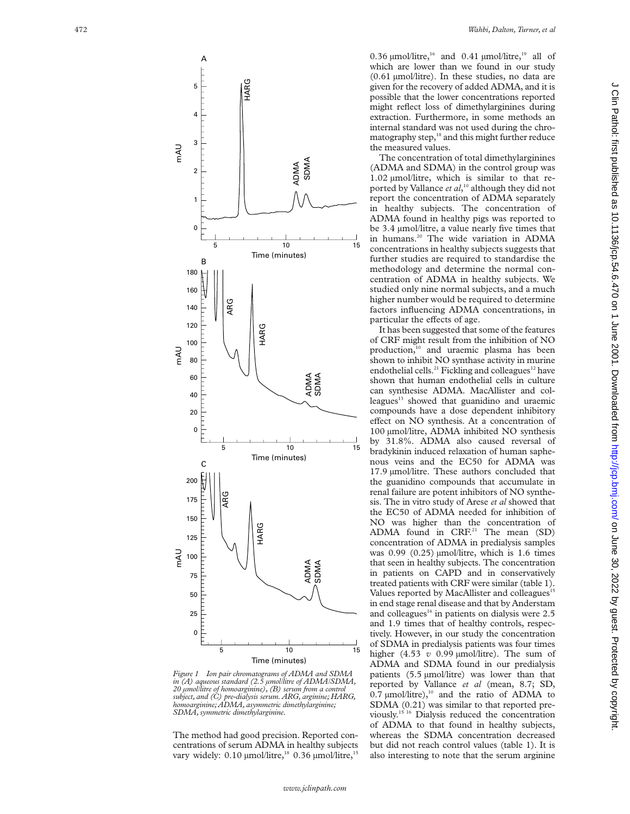

*Figure 1 Ion pair chromatograms of ADMA and SDMA in (A) aqueous standard (2.5 µmol/litre of ADMA/SDMA, 20 µmol/litre of homoarginine), (B) serum from a control subject, and (C) pre-dialysis serum. ARG, arginine; HARG, homoarginine; ADMA, asymmetric dimethylarginine; SDMA, symmetric dimethylarginine.*

The method had good precision. Reported concentrations of serum ADMA in healthy subjects vary widely:  $0.10 \mu$ mol/litre,<sup>18</sup> 0.36  $\mu$ mol/litre,<sup>1</sup>

0.36  $\mu$ mol/litre,<sup>16</sup> and 0.41  $\mu$ mol/litre,<sup>19</sup> all of which are lower than we found in our study (0.61 µmol/litre). In these studies, no data are given for the recovery of added ADMA, and it is possible that the lower concentrations reported might reflect loss of dimethylarginines during extraction. Furthermore, in some methods an internal standard was not used during the chromatography step,<sup>18</sup> and this might further reduce the measured values.

The concentration of total dimethylarginines (ADMA and SDMA) in the control group was 1.02 µmol/litre, which is similar to that reported by Vallance *et al*, <sup>10</sup> although they did not report the concentration of ADMA separately in healthy subjects. The concentration of ADMA found in healthy pigs was reported to be 3.4 µmol/litre, a value nearly five times that in humans.<sup>20</sup> The wide variation in ADMA concentrations in healthy subjects suggests that further studies are required to standardise the methodology and determine the normal concentration of ADMA in healthy subjects. We studied only nine normal subjects, and a much higher number would be required to determine factors influencing ADMA concentrations, in particular the effects of age.

It has been suggested that some of the features of CRF might result from the inhibition of NO production,<sup>10</sup> and uraemic plasma has been shown to inhibit NO synthase activity in murine endothelial cells.<sup>21</sup> Fickling and colleagues<sup>12</sup> have shown that human endothelial cells in culture can synthesise ADMA. MacAllister and colleagues<sup>13</sup> showed that guanidino and uraemic compounds have a dose dependent inhibitory effect on NO synthesis. At a concentration of 100 µmol/litre, ADMA inhibited NO synthesis by 31.8%. ADMA also caused reversal of bradykinin induced relaxation of human saphenous veins and the EC50 for ADMA was 17.9 µmol/litre. These authors concluded that the guanidino compounds that accumulate in renal failure are potent inhibitors of NO synthesis. The in vitro study of Arese *et al* showed that the EC50 of ADMA needed for inhibition of NO was higher than the concentration of ADMA found in CRF.21 The mean (SD) concentration of ADMA in predialysis samples was  $0.99$   $(0.25)$   $\mu$ mol/litre, which is 1.6 times that seen in healthy subjects. The concentration in patients on CAPD and in conservatively treated patients with CRF were similar (table 1). Values reported by MacAllister and colleagues<sup>15</sup> in end stage renal disease and that by Anderstam and colleagues<sup>16</sup> in patients on dialysis were  $2.5$ and 1.9 times that of healthy controls, respectively. However, in our study the concentration of SDMA in predialysis patients was four times higher (4.53 *v* 0.99 µmol/litre). The sum of ADMA and SDMA found in our predialysis patients (5.5 µmol/litre) was lower than that reported by Vallance *et al* (mean, 8.7; SD, 0.7  $\mu$ mol/litre),<sup>10</sup> and the ratio of ADMA to SDMA (0.21) was similar to that reported previously.15 16 Dialysis reduced the concentration of ADMA to that found in healthy subjects, whereas the SDMA concentration decreased but did not reach control values (table 1). It is also interesting to note that the serum arginine